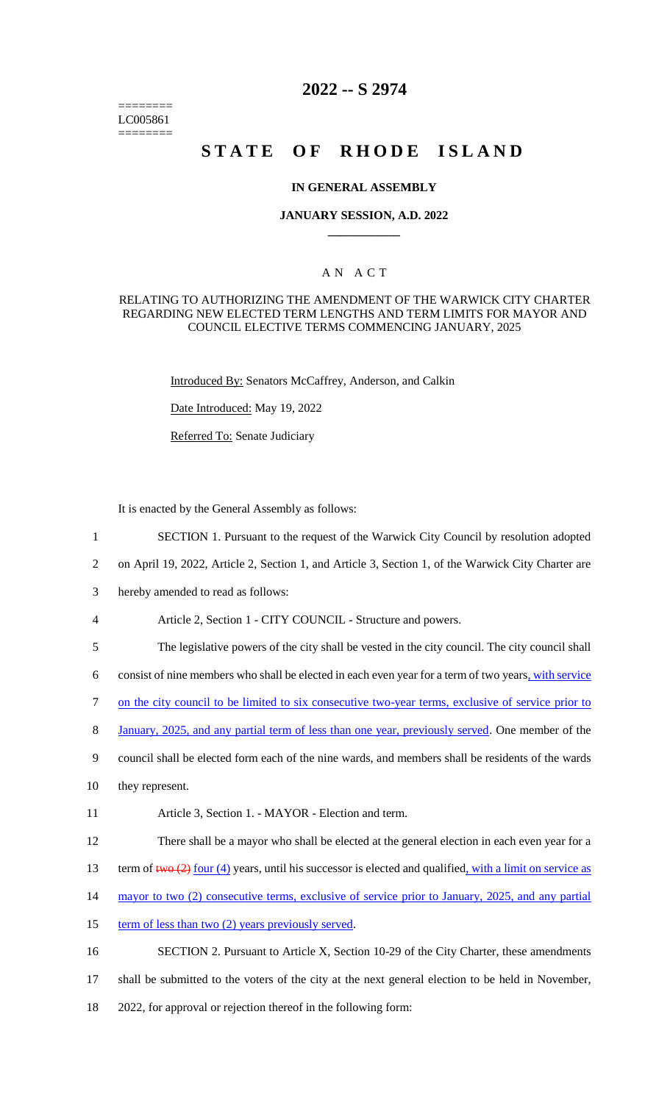======== LC005861 ========

## **2022 -- S 2974**

# **STATE OF RHODE ISLAND**

### **IN GENERAL ASSEMBLY**

#### **JANUARY SESSION, A.D. 2022 \_\_\_\_\_\_\_\_\_\_\_\_**

## A N A C T

#### RELATING TO AUTHORIZING THE AMENDMENT OF THE WARWICK CITY CHARTER REGARDING NEW ELECTED TERM LENGTHS AND TERM LIMITS FOR MAYOR AND COUNCIL ELECTIVE TERMS COMMENCING JANUARY, 2025

Introduced By: Senators McCaffrey, Anderson, and Calkin

Date Introduced: May 19, 2022

Referred To: Senate Judiciary

It is enacted by the General Assembly as follows:

- 1 SECTION 1. Pursuant to the request of the Warwick City Council by resolution adopted
- 2 on April 19, 2022, Article 2, Section 1, and Article 3, Section 1, of the Warwick City Charter are
- 3 hereby amended to read as follows:
- 4 Article 2, Section 1 CITY COUNCIL Structure and powers.
- 5 The legislative powers of the city shall be vested in the city council. The city council shall

6 consist of nine members who shall be elected in each even year for a term of two years, with service

- 7 on the city council to be limited to six consecutive two-year terms, exclusive of service prior to
- 8 January, 2025, and any partial term of less than one year, previously served. One member of the
- 9 council shall be elected form each of the nine wards, and members shall be residents of the wards
- 10 they represent.
- 11 Article 3, Section 1. MAYOR Election and term.
- 12 There shall be a mayor who shall be elected at the general election in each even year for a
- 13 term of  $t_{w0}$  (2) four (4) years, until his successor is elected and qualified, with a limit on service as
- 14 mayor to two (2) consecutive terms, exclusive of service prior to January, 2025, and any partial
- 15 term of less than two (2) years previously served.

16 SECTION 2. Pursuant to Article X, Section 10-29 of the City Charter, these amendments 17 shall be submitted to the voters of the city at the next general election to be held in November,

18 2022, for approval or rejection thereof in the following form: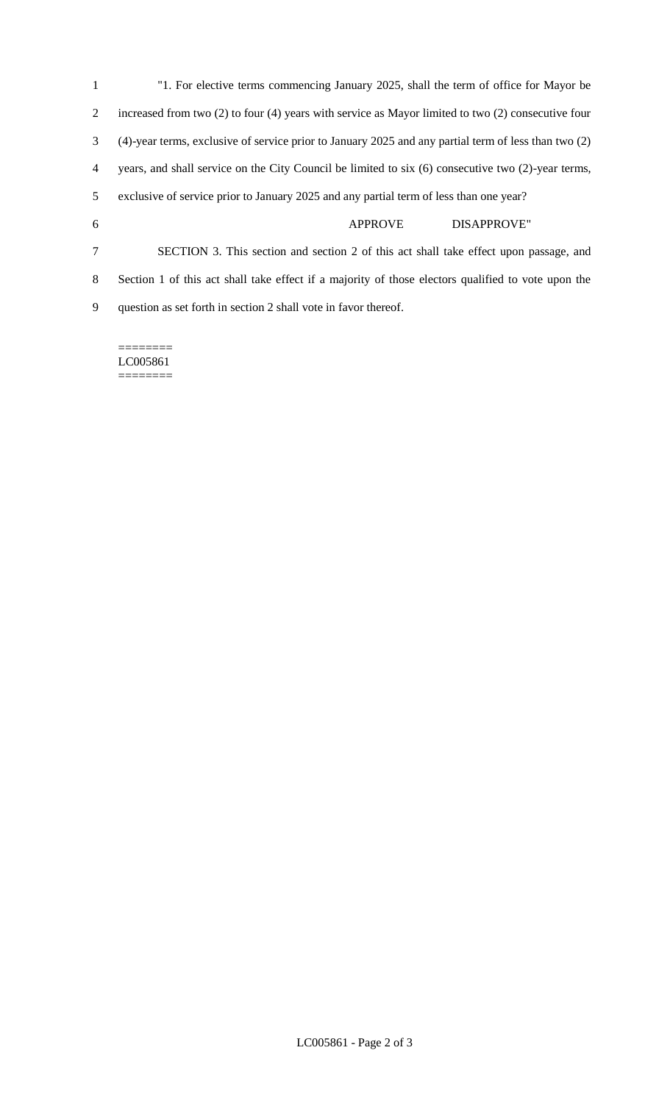| 1              | "1. For elective terms commencing January 2025, shall the term of office for Mayor be                    |
|----------------|----------------------------------------------------------------------------------------------------------|
| 2              | increased from two $(2)$ to four $(4)$ years with service as Mayor limited to two $(2)$ consecutive four |
| 3              | (4)-year terms, exclusive of service prior to January 2025 and any partial term of less than two (2)     |
| 4              | years, and shall service on the City Council be limited to six (6) consecutive two (2)-year terms,       |
| 5 <sup>5</sup> | exclusive of service prior to January 2025 and any partial term of less than one year?                   |
| 6              | <b>APPROVE</b><br><b>DISAPPROVE"</b>                                                                     |
| 7              | SECTION 3. This section and section 2 of this act shall take effect upon passage, and                    |
| 8              | Section 1 of this act shall take effect if a majority of those electors qualified to vote upon the       |
| 9              | question as set forth in section 2 shall vote in favor thereof.                                          |

======== LC005861 ========